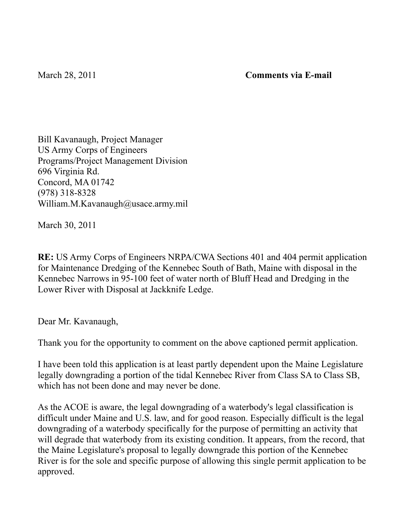## March 28, 2011 **Comments via E-mail**

Bill Kavanaugh, Project Manager US Army Corps of Engineers Programs/Project Management Division 696 Virginia Rd. Concord, MA 01742 (978) 318-8328 William.M.Kavanaugh@usace.army.mil

March 30, 2011

**RE:** US Army Corps of Engineers NRPA/CWA Sections 401 and 404 permit application for Maintenance Dredging of the Kennebec South of Bath, Maine with disposal in the Kennebec Narrows in 95-100 feet of water north of Bluff Head and Dredging in the Lower River with Disposal at Jackknife Ledge.

Dear Mr. Kavanaugh,

Thank you for the opportunity to comment on the above captioned permit application.

I have been told this application is at least partly dependent upon the Maine Legislature legally downgrading a portion of the tidal Kennebec River from Class SA to Class SB, which has not been done and may never be done.

As the ACOE is aware, the legal downgrading of a waterbody's legal classification is difficult under Maine and U.S. law, and for good reason. Especially difficult is the legal downgrading of a waterbody specifically for the purpose of permitting an activity that will degrade that waterbody from its existing condition. It appears, from the record, that the Maine Legislature's proposal to legally downgrade this portion of the Kennebec River is for the sole and specific purpose of allowing this single permit application to be approved.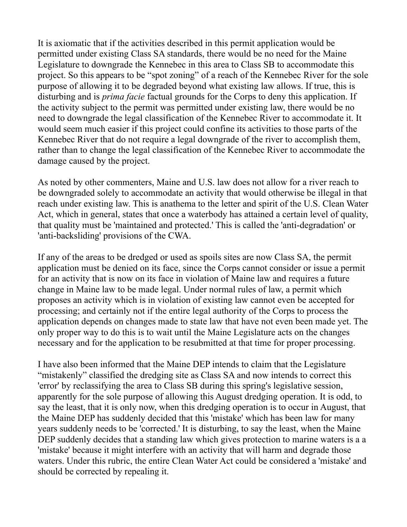It is axiomatic that if the activities described in this permit application would be permitted under existing Class SA standards, there would be no need for the Maine Legislature to downgrade the Kennebec in this area to Class SB to accommodate this project. So this appears to be "spot zoning" of a reach of the Kennebec River for the sole purpose of allowing it to be degraded beyond what existing law allows. If true, this is disturbing and is *prima facie* factual grounds for the Corps to deny this application. If the activity subject to the permit was permitted under existing law, there would be no need to downgrade the legal classification of the Kennebec River to accommodate it. It would seem much easier if this project could confine its activities to those parts of the Kennebec River that do not require a legal downgrade of the river to accomplish them, rather than to change the legal classification of the Kennebec River to accommodate the damage caused by the project.

As noted by other commenters, Maine and U.S. law does not allow for a river reach to be downgraded solely to accommodate an activity that would otherwise be illegal in that reach under existing law. This is anathema to the letter and spirit of the U.S. Clean Water Act, which in general, states that once a waterbody has attained a certain level of quality, that quality must be 'maintained and protected.' This is called the 'anti-degradation' or 'anti-backsliding' provisions of the CWA.

If any of the areas to be dredged or used as spoils sites are now Class SA, the permit application must be denied on its face, since the Corps cannot consider or issue a permit for an activity that is now on its face in violation of Maine law and requires a future change in Maine law to be made legal. Under normal rules of law, a permit which proposes an activity which is in violation of existing law cannot even be accepted for processing; and certainly not if the entire legal authority of the Corps to process the application depends on changes made to state law that have not even been made yet. The only proper way to do this is to wait until the Maine Legislature acts on the changes necessary and for the application to be resubmitted at that time for proper processing.

I have also been informed that the Maine DEP intends to claim that the Legislature "mistakenly" classified the dredging site as Class SA and now intends to correct this 'error' by reclassifying the area to Class SB during this spring's legislative session, apparently for the sole purpose of allowing this August dredging operation. It is odd, to say the least, that it is only now, when this dredging operation is to occur in August, that the Maine DEP has suddenly decided that this 'mistake' which has been law for many years suddenly needs to be 'corrected.' It is disturbing, to say the least, when the Maine DEP suddenly decides that a standing law which gives protection to marine waters is a a 'mistake' because it might interfere with an activity that will harm and degrade those waters. Under this rubric, the entire Clean Water Act could be considered a 'mistake' and should be corrected by repealing it.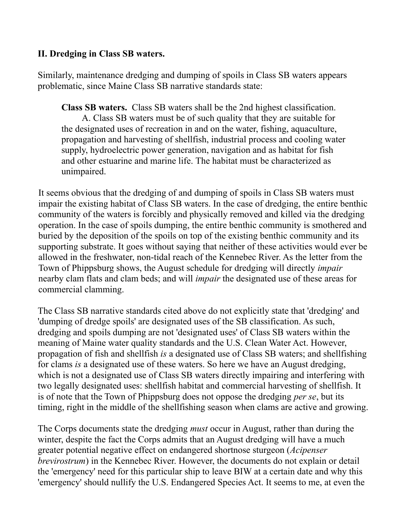## **II. Dredging in Class SB waters.**

Similarly, maintenance dredging and dumping of spoils in Class SB waters appears problematic, since Maine Class SB narrative standards state:

**Class SB waters.** Class SB waters shall be the 2nd highest classification. A. Class SB waters must be of such quality that they are suitable for the designated uses of recreation in and on the water, fishing, aquaculture, propagation and harvesting of shellfish, industrial process and cooling water supply, hydroelectric power generation, navigation and as habitat for fish and other estuarine and marine life. The habitat must be characterized as unimpaired.

It seems obvious that the dredging of and dumping of spoils in Class SB waters must impair the existing habitat of Class SB waters. In the case of dredging, the entire benthic community of the waters is forcibly and physically removed and killed via the dredging operation. In the case of spoils dumping, the entire benthic community is smothered and buried by the deposition of the spoils on top of the existing benthic community and its supporting substrate. It goes without saying that neither of these activities would ever be allowed in the freshwater, non-tidal reach of the Kennebec River. As the letter from the Town of Phippsburg shows, the August schedule for dredging will directly *impair* nearby clam flats and clam beds; and will *impair* the designated use of these areas for commercial clamming.

The Class SB narrative standards cited above do not explicitly state that 'dredging' and 'dumping of dredge spoils' are designated uses of the SB classification. As such, dredging and spoils dumping are not 'designated uses' of Class SB waters within the meaning of Maine water quality standards and the U.S. Clean Water Act. However, propagation of fish and shellfish *is* a designated use of Class SB waters; and shellfishing for clams *is* a designated use of these waters. So here we have an August dredging, which is not a designated use of Class SB waters directly impairing and interfering with two legally designated uses: shellfish habitat and commercial harvesting of shellfish. It is of note that the Town of Phippsburg does not oppose the dredging *per se*, but its timing, right in the middle of the shellfishing season when clams are active and growing.

The Corps documents state the dredging *must* occur in August, rather than during the winter, despite the fact the Corps admits that an August dredging will have a much greater potential negative effect on endangered shortnose sturgeon (*Acipenser brevirostrum*) in the Kennebec River. However, the documents do not explain or detail the 'emergency' need for this particular ship to leave BIW at a certain date and why this 'emergency' should nullify the U.S. Endangered Species Act. It seems to me, at even the